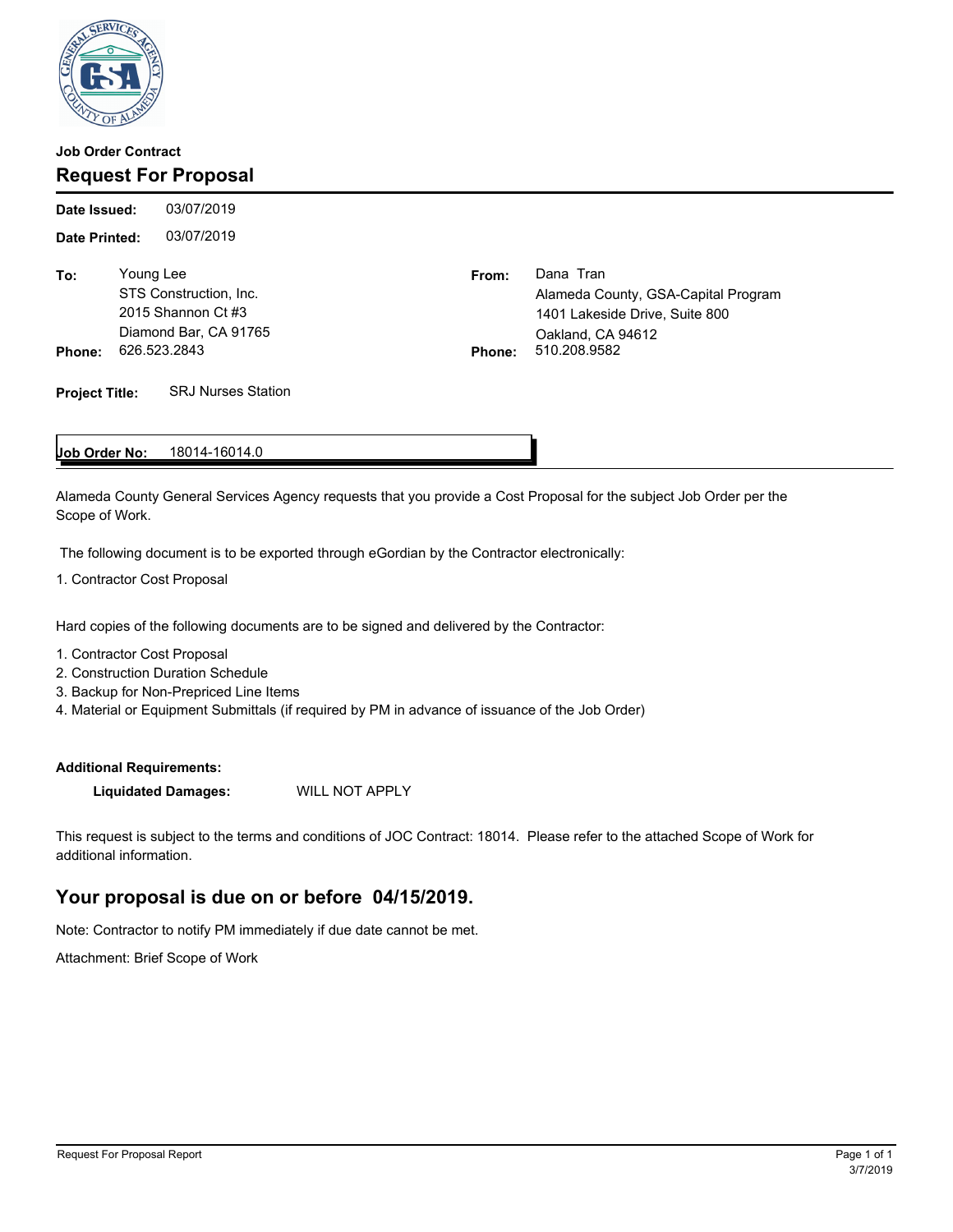

## **Job Order Contract Request For Proposal**

03/07/2019 **Date Printed:** 03/07/2019 **Date Issued: To: From:** Dana Tran Young Lee Alameda County, GSA-Capital Program 1401 Lakeside Drive, Suite 800 Oakland, CA 94612<br>510.208.9582 STS Construction, Inc. 2015 Shannon Ct #3 Diamond Bar, CA 91765 **Phone:** 626.523.2843 **Phone:** 526.523.2843 **Project Title:** SRJ Nurses Station

#### 18014-16014.0 **Job Order No:**

Alameda County General Services Agency requests that you provide a Cost Proposal for the subject Job Order per the Scope of Work.

The following document is to be exported through eGordian by the Contractor electronically:

1. Contractor Cost Proposal

Hard copies of the following documents are to be signed and delivered by the Contractor:

- 1. Contractor Cost Proposal
- 2. Construction Duration Schedule
- 3. Backup for Non-Prepriced Line Items
- 4. Material or Equipment Submittals (if required by PM in advance of issuance of the Job Order)

### **Additional Requirements:**

**Liquidated Damages:** WILL NOT APPLY

This request is subject to the terms and conditions of JOC Contract: 18014. Please refer to the attached Scope of Work for additional information.

# **Your proposal is due on or before 04/15/2019.**

Note: Contractor to notify PM immediately if due date cannot be met.

Attachment: Brief Scope of Work